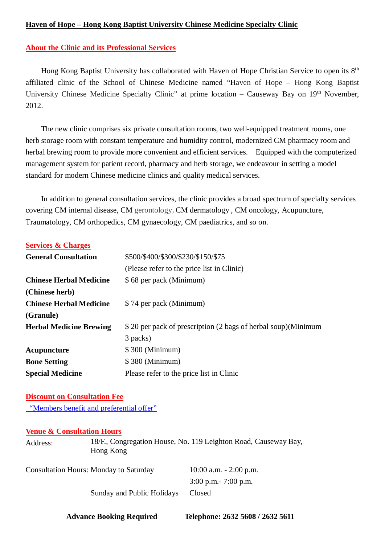## **Haven of Hope – Hong Kong Baptist University Chinese Medicine Specialty Clinic**

# **About the Clinic and its Professional Services**

Hong Kong Baptist University has collaborated with Haven of Hope Christian Service to open its 8th affiliated clinic of the School of Chinese Medicine named "Haven of Hope – Hong Kong Baptist University Chinese Medicine Specialty Clinic" at prime location – Causeway Bay on 19<sup>th</sup> November, 2012.

The new clinic comprises six private consultation rooms, two well-equipped treatment rooms, one herb storage room with constant temperature and humidity control, modernized CM pharmacy room and herbal brewing room to provide more convenient and efficient services. Equipped with the computerized management system for patient record, pharmacy and herb storage, we endeavour in setting a model standard for modern Chinese medicine clinics and quality medical services.

In addition to general consultation services, the clinic provides a broad spectrum of specialty services covering CM internal disease, CM gerontology, CM dermatology , CM oncology, Acupuncture, Traumatology, CM orthopedics, CM gynaecology, CM paediatrics, and so on.

## **Services & Charges**

| <b>General Consultation</b>    | \$500/\$400/\$300/\$230/\$150/\$75                            |
|--------------------------------|---------------------------------------------------------------|
|                                | (Please refer to the price list in Clinic)                    |
| <b>Chinese Herbal Medicine</b> | \$68 per pack (Minimum)                                       |
| (Chinese herb)                 |                                                               |
| <b>Chinese Herbal Medicine</b> | \$74 per pack (Minimum)                                       |
| (Granule)                      |                                                               |
| <b>Herbal Medicine Brewing</b> | \$20 per pack of prescription (2 bags of herbal soup)(Minimum |
|                                | 3 packs)                                                      |
| Acupuncture                    | \$300 (Minimum)                                               |
| <b>Bone Setting</b>            | \$380 (Minimum)                                               |
| <b>Special Medicine</b>        | Please refer to the price list in Clinic                      |

### **Discount on Consultation Fee**

"Members benefit and preferential offer"

### **Venue & Consultation Hours**

Address: 18/F., Congregation House, No. 119 Leighton Road, Causeway Bay, Hong Kong

| <b>Consultation Hours: Monday to Saturday</b> | $10:00$ a.m. $-2:00$ p.m. |
|-----------------------------------------------|---------------------------|
|                                               | $3:00$ p.m. $-7:00$ p.m.  |
| Sunday and Public Holidays                    | <b>Closed</b>             |

 **Advance Booking Required Telephone: 2632 5608 / 2632 5611**